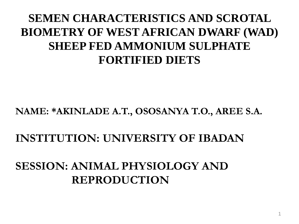### **SEMEN CHARACTERISTICS AND SCROTAL BIOMETRY OF WEST AFRICAN DWARF (WAD) SHEEP FED AMMONIUM SULPHATE FORTIFIED DIETS**

#### **NAME: \*AKINLADE A.T., OSOSANYA T.O., AREE S.A.**

### **INSTITUTION: UNIVERSITY OF IBADAN**

### **SESSION: ANIMAL PHYSIOLOGY AND REPRODUCTION**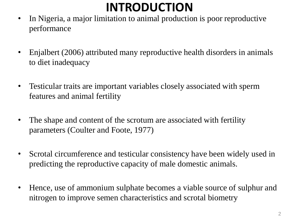## **INTRODUCTION**

- In Nigeria, a major limitation to animal production is poor reproductive performance
- Enjalbert (2006) attributed many reproductive health disorders in animals to diet inadequacy
- Testicular traits are important variables closely associated with sperm features and animal fertility
- The shape and content of the scrotum are associated with fertility parameters (Coulter and Foote, 1977)
- Scrotal circumference and testicular consistency have been widely used in predicting the reproductive capacity of male domestic animals.
- Hence, use of ammonium sulphate becomes a viable source of sulphur and nitrogen to improve semen characteristics and scrotal biometry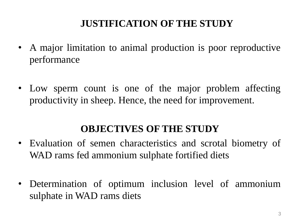### **JUSTIFICATION OF THE STUDY**

- A major limitation to animal production is poor reproductive performance
- Low sperm count is one of the major problem affecting productivity in sheep. Hence, the need for improvement.

#### **OBJECTIVES OF THE STUDY**

- Evaluation of semen characteristics and scrotal biometry of WAD rams fed ammonium sulphate fortified diets
- Determination of optimum inclusion level of ammonium sulphate in WAD rams diets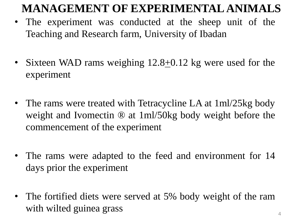### **MANAGEMENT OF EXPERIMENTAL ANIMALS**

- The experiment was conducted at the sheep unit of the Teaching and Research farm, University of Ibadan
- Sixteen WAD rams weighing  $12.8 \pm 0.12$  kg were used for the experiment
- The rams were treated with Tetracycline LA at 1ml/25kg body weight and Ivomectin ® at 1ml/50kg body weight before the commencement of the experiment
- The rams were adapted to the feed and environment for 14 days prior the experiment
- The fortified diets were served at 5% body weight of the ram with wilted guinea grass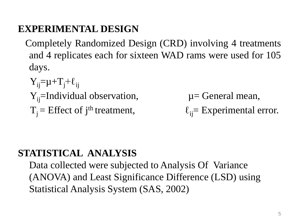#### **EXPERIMENTAL DESIGN**

- Completely Randomized Design (CRD) involving 4 treatments and 4 replicates each for sixteen WAD rams were used for 105 days.
	- $Y_{ij} = \mu + T_i + \ell_{ii}$  $Y_{ii}$ =Individual observation,  $\mu$  = General mean,  $T_i$  = Effect of j<sup>th</sup> treatment,

 $\ell_{ii}$ = Experimental error.

#### **STATISTICAL ANALYSIS**

Data collected were subjected to Analysis Of Variance (ANOVA) and Least Significance Difference (LSD) using Statistical Analysis System (SAS, 2002)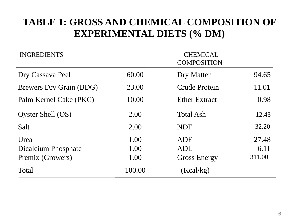#### **TABLE 1: GROSS AND CHEMICAL COMPOSITION OF EXPERIMENTAL DIETS (% DM)**

| <b>INGREDIENTS</b>             | <b>CHEMICAL</b><br><b>COMPOSITION</b> |                      |        |  |  |
|--------------------------------|---------------------------------------|----------------------|--------|--|--|
| Dry Cassava Peel               | 60.00                                 | Dry Matter           | 94.65  |  |  |
| <b>Brewers Dry Grain (BDG)</b> | 23.00                                 | Crude Protein        | 11.01  |  |  |
| Palm Kernel Cake (PKC)         | 10.00                                 | <b>Ether Extract</b> | 0.98   |  |  |
| Oyster Shell (OS)              | 2.00                                  | <b>Total Ash</b>     | 12.43  |  |  |
| Salt                           | 2.00                                  | <b>NDF</b>           | 32.20  |  |  |
| Urea                           | 1.00                                  | ADF                  | 27.48  |  |  |
| Dicalcium Phosphate            | 1.00                                  | <b>ADL</b>           | 6.11   |  |  |
| Premix (Growers)               | 1.00                                  | <b>Gross Energy</b>  | 311.00 |  |  |
| Total                          | 100.00                                | (Kcal/kg)            |        |  |  |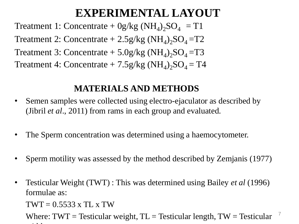### **EXPERIMENTAL LAYOUT**

Treatment 1: Concentrate +  $0g/kg (NH_4)_2SO_4 = T1$ Treatment 2: Concentrate  $+ 2.5$ g/kg (NH<sub>4</sub>)<sub>2</sub>SO<sub>4</sub>=T2 Treatment 3: Concentrate  $+ 5.0$ g/kg (NH<sub>4</sub>)<sub>2</sub>SO<sub>4</sub>=T3 Treatment 4: Concentrate  $+ 7.5$ g/kg (NH<sub>4</sub>)<sub>2</sub>SO<sub>4</sub> = T4

#### **MATERIALS AND METHODS**

- Semen samples were collected using electro-ejaculator as described by (Jibril *et al*., 2011) from rams in each group and evaluated.
- The Sperm concentration was determined using a haemocytometer.
- Sperm motility was assessed by the method described by Zemjanis (1977)
- Testicular Weight (TWT) : This was determined using Bailey *et al* (1996) formulae as:

 $TWT = 0.5533 \times TL \times TW$ 

Where:  $TWT = Testicular weight, TL = Testicular length, TW = Testicular$ width and the state of the state of the state of the state of the state of the state of the state of the state of the state of the state of the state of the state of the state of the state of the state of the state of the 7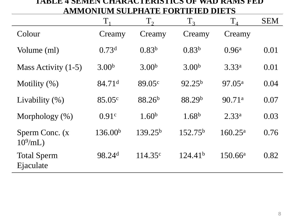#### **TABLE 4 SEMEN CHARACTERISTICS OF WAD RAMS FED AMMONIUM SULPHATE FORTIFIED DIETS**

|                                 | $T_{1}$              | $T_{2}$             | T <sub>3</sub>      | $T_4$              | <b>SEM</b> |
|---------------------------------|----------------------|---------------------|---------------------|--------------------|------------|
| Colour                          | Creamy               | Creamy              | Creamy              | Creamy             |            |
| Volume (ml)                     | 0.73 <sup>d</sup>    | $0.83^{b}$          | 0.83 <sup>b</sup>   | 0.96 <sup>a</sup>  | 0.01       |
| Mass Activity (1-5)             | 3.00 <sup>b</sup>    | 3.00 <sup>b</sup>   | 3.00 <sup>b</sup>   | 3.33 <sup>a</sup>  | 0.01       |
| Motility $(\%)$                 | $84.71$ <sup>d</sup> | 89.05 <sup>c</sup>  | $92.25^{b}$         | 97.05 <sup>a</sup> | 0.04       |
| Livability $(\% )$              | 85.05 <sup>c</sup>   | 88.26 <sup>b</sup>  | 88.29 <sup>b</sup>  | 90.71a             | 0.07       |
| Morphology $(\%)$               | 0.91c                | 1.60 <sup>b</sup>   | 1.68 <sup>b</sup>   | 2.33 <sup>a</sup>  | 0.03       |
| Sperm Conc. (x<br>$10^9$ /mL)   | 136.00 <sup>b</sup>  | 139.25 <sup>b</sup> | 152.75 <sup>b</sup> | $160.25^{\rm a}$   | 0.76       |
| <b>Total Sperm</b><br>Ejaculate | 98.24 <sup>d</sup>   | 114.35c             | 124.41 <sup>b</sup> | $150.66^{\rm a}$   | 0.82       |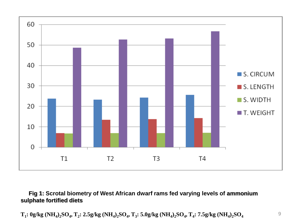

#### **Fig 1: Scrotal biometry of West African dwarf rams fed varying levels of ammonium sulphate fortified diets**

$$
T_1:0g/kg\ (NH_4)_2SO_4,\,T_2:2.5g/kg\ (NH_4)_2SO_4,\,T_3:5.0g/kg\ (NH_4)_2SO_4,\,T_4:7.5g/kg\ (NH_4)_2SO_4
$$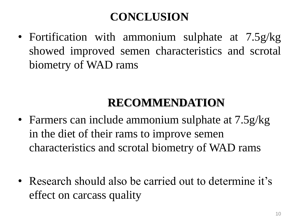## **CONCLUSION**

• Fortification with ammonium sulphate at 7.5g/kg showed improved semen characteristics and scrotal biometry of WAD rams

### **RECOMMENDATION**

- Farmers can include ammonium sulphate at  $7.5g/kg$ in the diet of their rams to improve semen characteristics and scrotal biometry of WAD rams
- Research should also be carried out to determine it's effect on carcass quality